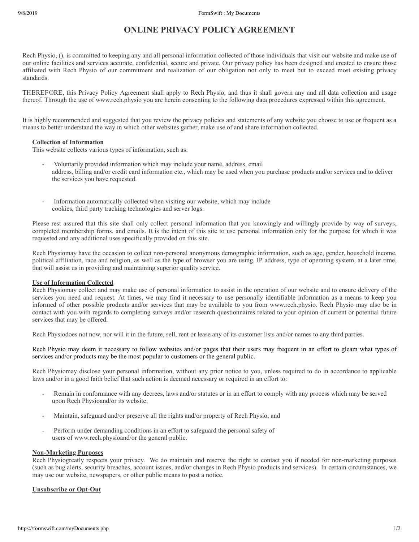# **ONLINE PRIVACY POLICY AGREEMENT**

Rech Physio, (), is committed to keeping any and all personal information collected of those individuals that visit our website and make use of our online facilities and services accurate, confidential, secure and private. Our privacy policy has been designed and created to ensure those affiliated with Rech Physio of our commitment and realization of our obligation not only to meet but to exceed most existing privacy standards.

THEREFORE, this Privacy Policy Agreement shall apply to Rech Physio, and thus it shall govern any and all data collection and usage thereof. Through the use of www.rech.physio you are herein consenting to the following data procedures expressed within this agreement.

It is highly recommended and suggested that you review the privacy policies and statements of any website you choose to use or frequent as a means to better understand the way in which other websites garner, make use of and share information collected.

#### **Collection of Information**

This website collects various types of information, such as:

- Voluntarily provided information which may include your name, address, email address, billing and/or credit card information etc., which may be used when you purchase products and/or services and to deliver the services you have requested.
- Information automatically collected when visiting our website, which may include cookies, third party tracking technologies and server logs.

Please rest assured that this site shall only collect personal information that you knowingly and willingly provide by way of surveys, completed membership forms, and emails. It is the intent of this site to use personal information only for the purpose for which it was requested and any additional uses specifically provided on this site.

Rech Physiomay have the occasion to collect non-personal anonymous demographic information, such as age, gender, household income, political affiliation, race and religion, as well as the type of browser you are using, IP address, type of operating system, at a later time, that will assist us in providing and maintaining superior quality service.

## **Use of Information Collected**

Rech Physiomay collect and may make use of personal information to assist in the operation of our website and to ensure delivery of the services you need and request. At times, we may find it necessary to use personally identifiable information as a means to keep you informed of other possible products and/or services that may be available to you from www.rech.physio. Rech Physio may also be in contact with you with regards to completing surveys and/or research questionnaires related to your opinion of current or potential future services that may be offered.

Rech Physiodoes not now, nor will it in the future, sell, rent or lease any of its customer lists and/or names to any third parties.

Rech Physio may deem it necessary to follow websites and/or pages that their users may frequent in an effort to gleam what types of services and/or products may be the most popular to customers or the general public.

Rech Physiomay disclose your personal information, without any prior notice to you, unless required to do in accordance to applicable laws and/or in a good faith belief that such action is deemed necessary or required in an effort to:

- Remain in conformance with any decrees, laws and/or statutes or in an effort to comply with any process which may be served upon Rech Physioand/or its website;
- Maintain, safeguard and/or preserve all the rights and/or property of Rech Physio; and
- Perform under demanding conditions in an effort to safeguard the personal safety of users of www.rech.physioand/or the general public.

#### **Non-Marketing Purposes**

Rech Physiogreatly respects your privacy. We do maintain and reserve the right to contact you if needed for non-marketing purposes (such as bug alerts, security breaches, account issues, and/or changes in Rech Physio products and services). In certain circumstances, we may use our website, newspapers, or other public means to post a notice.

#### **Unsubscribe or Opt-Out**